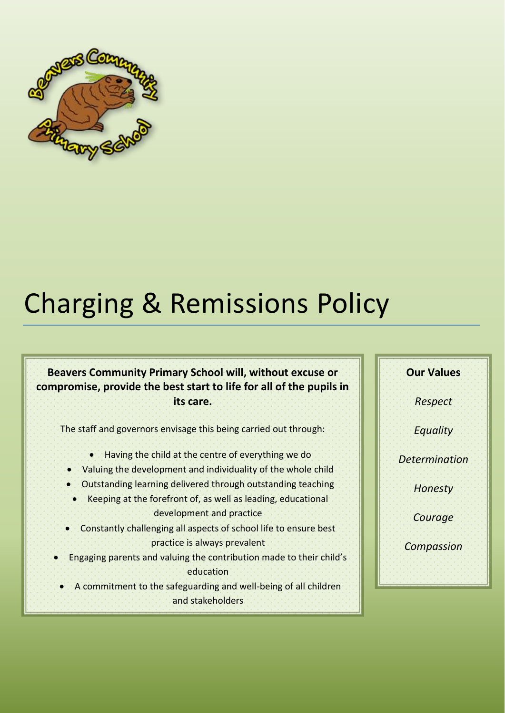

# Charging & Remissions Policy

#### **Beavers Community Primary School will, without excuse or compromise, provide the best start to life for all of the pupils in its care.**

The staff and governors envisage this being carried out through:

- Having the child at the centre of everything we do
- Valuing the development and individuality of the whole child
- Outstanding learning delivered through outstanding teaching
- Keeping at the forefront of, as well as leading, educational development and practice
- Constantly challenging all aspects of school life to ensure best practice is always prevalent
- Engaging parents and valuing the contribution made to their child's education
- A commitment to the safeguarding and well-being of all children and stakeholders

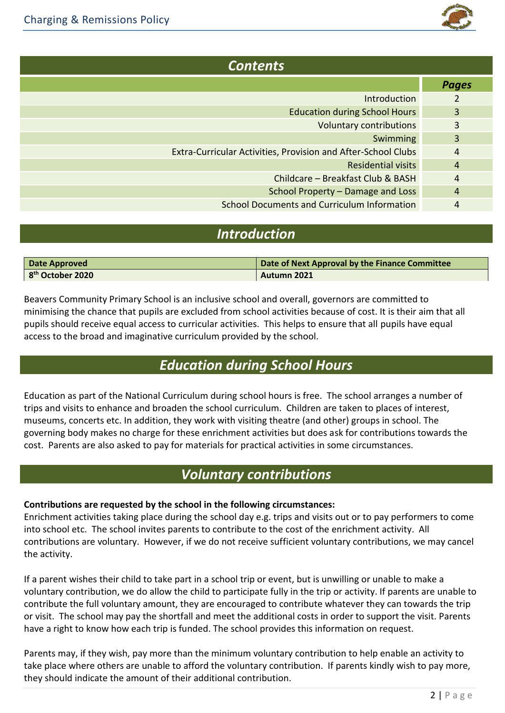

| <b>Contents</b>                                               |                |  |
|---------------------------------------------------------------|----------------|--|
|                                                               | <b>Pages</b>   |  |
| <b>Introduction</b>                                           |                |  |
| <b>Education during School Hours</b>                          | 3              |  |
| <b>Voluntary contributions</b>                                | 3              |  |
| Swimming                                                      | 3              |  |
| Extra-Curricular Activities, Provision and After-School Clubs | 4              |  |
| <b>Residential visits</b>                                     | 4              |  |
| Childcare - Breakfast Club & BASH                             | 4              |  |
| School Property - Damage and Loss                             | $\overline{4}$ |  |
| <b>School Documents and Curriculum Information</b>            | 4              |  |

### *Introduction*

| Date Approved                | Date of Next Approval by the Finance Committee |
|------------------------------|------------------------------------------------|
| 8 <sup>th</sup> October 2020 | Autumn 2021                                    |

Beavers Community Primary School is an inclusive school and overall, governors are committed to minimising the chance that pupils are excluded from school activities because of cost. It is their aim that all pupils should receive equal access to curricular activities. This helps to ensure that all pupils have equal access to the broad and imaginative curriculum provided by the school.

# *Education during School Hours*

Education as part of the National Curriculum during school hours is free. The school arranges a number of trips and visits to enhance and broaden the school curriculum. Children are taken to places of interest, museums, concerts etc. In addition, they work with visiting theatre (and other) groups in school. The governing body makes no charge for these enrichment activities but does ask for contributions towards the cost. Parents are also asked to pay for materials for practical activities in some circumstances.

# *Voluntary contributions*

#### **Contributions are requested by the school in the following circumstances:**

Enrichment activities taking place during the school day e.g. trips and visits out or to pay performers to come into school etc. The school invites parents to contribute to the cost of the enrichment activity. All contributions are voluntary. However, if we do not receive sufficient voluntary contributions, we may cancel the activity.

If a parent wishes their child to take part in a school trip or event, but is unwilling or unable to make a voluntary contribution, we do allow the child to participate fully in the trip or activity. If parents are unable to contribute the full voluntary amount, they are encouraged to contribute whatever they can towards the trip or visit. The school may pay the shortfall and meet the additional costs in order to support the visit. Parents have a right to know how each trip is funded. The school provides this information on request.

Parents may, if they wish, pay more than the minimum voluntary contribution to help enable an activity to take place where others are unable to afford the voluntary contribution. If parents kindly wish to pay more, they should indicate the amount of their additional contribution.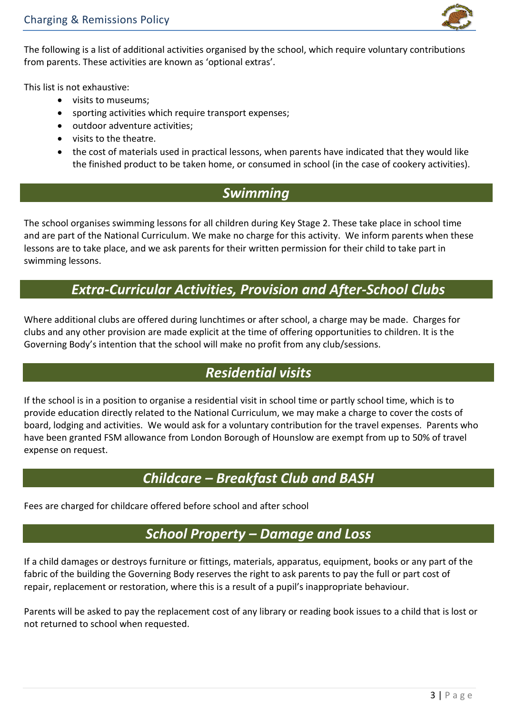

The following is a list of additional activities organised by the school, which require voluntary contributions from parents. These activities are known as 'optional extras'.

This list is not exhaustive:

- visits to museums;
- sporting activities which require transport expenses;
- outdoor adventure activities;
- visits to the theatre.
- the cost of materials used in practical lessons, when parents have indicated that they would like the finished product to be taken home, or consumed in school (in the case of cookery activities).

#### *Swimming*

The school organises swimming lessons for all children during Key Stage 2. These take place in school time and are part of the National Curriculum. We make no charge for this activity. We inform parents when these lessons are to take place, and we ask parents for their written permission for their child to take part in swimming lessons.

# *Extra-Curricular Activities, Provision and After-School Clubs*

Where additional clubs are offered during lunchtimes or after school, a charge may be made. Charges for clubs and any other provision are made explicit at the time of offering opportunities to children. It is the Governing Body's intention that the school will make no profit from any club/sessions.

# *Residential visits*

If the school is in a position to organise a residential visit in school time or partly school time, which is to provide education directly related to the National Curriculum, we may make a charge to cover the costs of board, lodging and activities. We would ask for a voluntary contribution for the travel expenses. Parents who have been granted FSM allowance from London Borough of Hounslow are exempt from up to 50% of travel expense on request.

# *Childcare – Breakfast Club and BASH*

Fees are charged for childcare offered before school and after school

#### *School Property – Damage and Loss*

If a child damages or destroys furniture or fittings, materials, apparatus, equipment, books or any part of the fabric of the building the Governing Body reserves the right to ask parents to pay the full or part cost of repair, replacement or restoration, where this is a result of a pupil's inappropriate behaviour.

Parents will be asked to pay the replacement cost of any library or reading book issues to a child that is lost or not returned to school when requested.